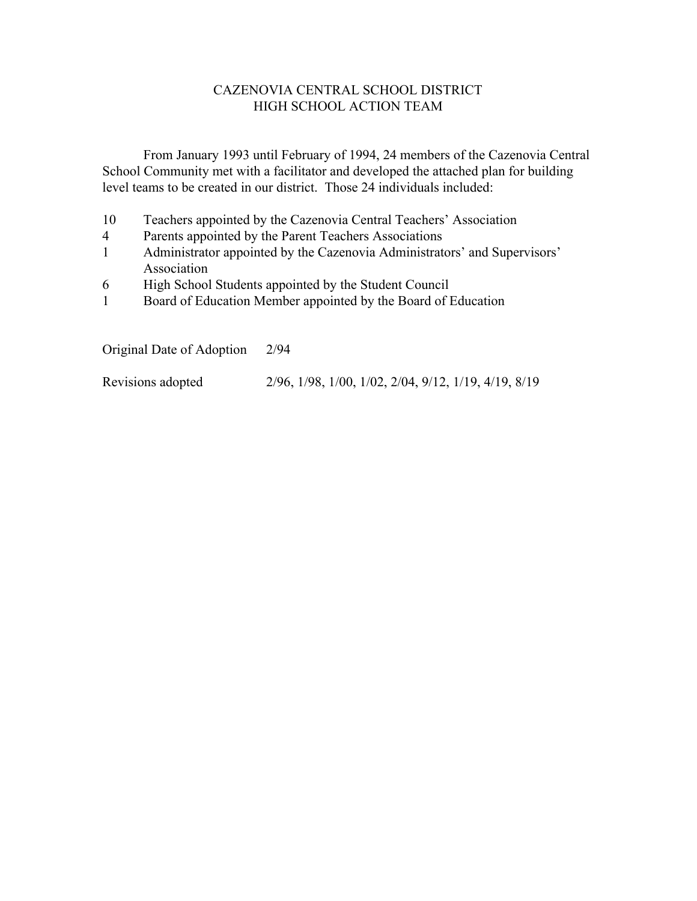### CAZENOVIA CENTRAL SCHOOL DISTRICT HIGH SCHOOL ACTION TEAM

From January 1993 until February of 1994, 24 members of the Cazenovia Central School Community met with a facilitator and developed the attached plan for building level teams to be created in our district. Those 24 individuals included:

- 10 Teachers appointed by the Cazenovia Central Teachers' Association
- 4 Parents appointed by the Parent Teachers Associations
- 1 Administrator appointed by the Cazenovia Administrators' and Supervisors' Association
- 6 High School Students appointed by the Student Council
- 1 Board of Education Member appointed by the Board of Education

Original Date of Adoption 2/94

Revisions adopted 2/96, 1/98, 1/00, 1/02, 2/04, 9/12, 1/19, 4/19, 8/19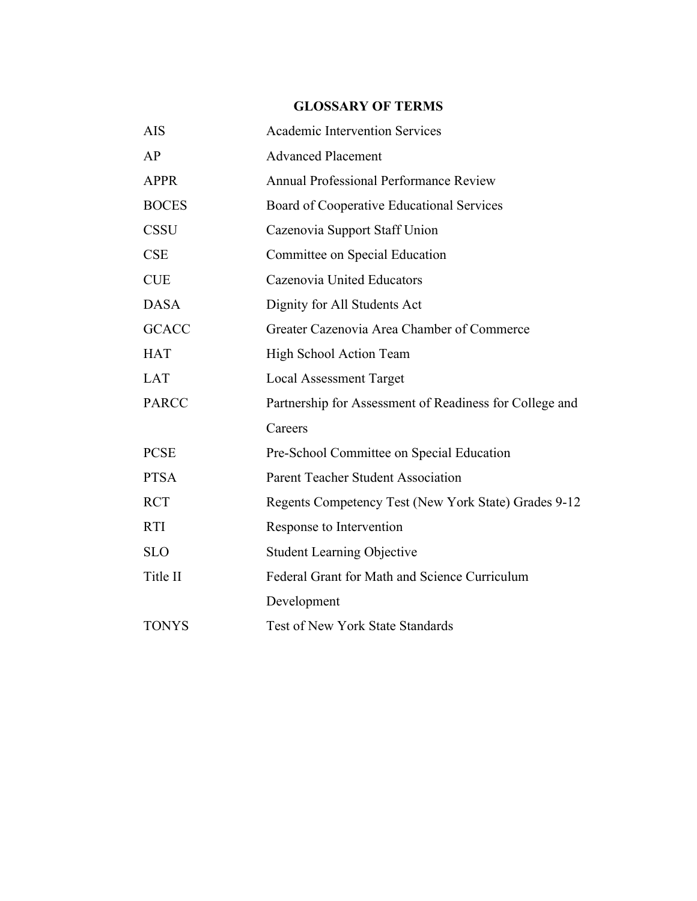# **GLOSSARY OF TERMS**

| <b>AIS</b>   | <b>Academic Intervention Services</b>                   |  |
|--------------|---------------------------------------------------------|--|
| AP           | <b>Advanced Placement</b>                               |  |
| <b>APPR</b>  | Annual Professional Performance Review                  |  |
| <b>BOCES</b> | Board of Cooperative Educational Services               |  |
| <b>CSSU</b>  | Cazenovia Support Staff Union                           |  |
| <b>CSE</b>   | Committee on Special Education                          |  |
| <b>CUE</b>   | Cazenovia United Educators                              |  |
| <b>DASA</b>  | Dignity for All Students Act                            |  |
| <b>GCACC</b> | Greater Cazenovia Area Chamber of Commerce              |  |
| <b>HAT</b>   | High School Action Team                                 |  |
| <b>LAT</b>   | <b>Local Assessment Target</b>                          |  |
| <b>PARCC</b> | Partnership for Assessment of Readiness for College and |  |
|              | Careers                                                 |  |
| <b>PCSE</b>  | Pre-School Committee on Special Education               |  |
| <b>PTSA</b>  | <b>Parent Teacher Student Association</b>               |  |
| <b>RCT</b>   | Regents Competency Test (New York State) Grades 9-12    |  |
| <b>RTI</b>   | Response to Intervention                                |  |
| <b>SLO</b>   | <b>Student Learning Objective</b>                       |  |
| Title II     | Federal Grant for Math and Science Curriculum           |  |
|              | Development                                             |  |
| <b>TONYS</b> | Test of New York State Standards                        |  |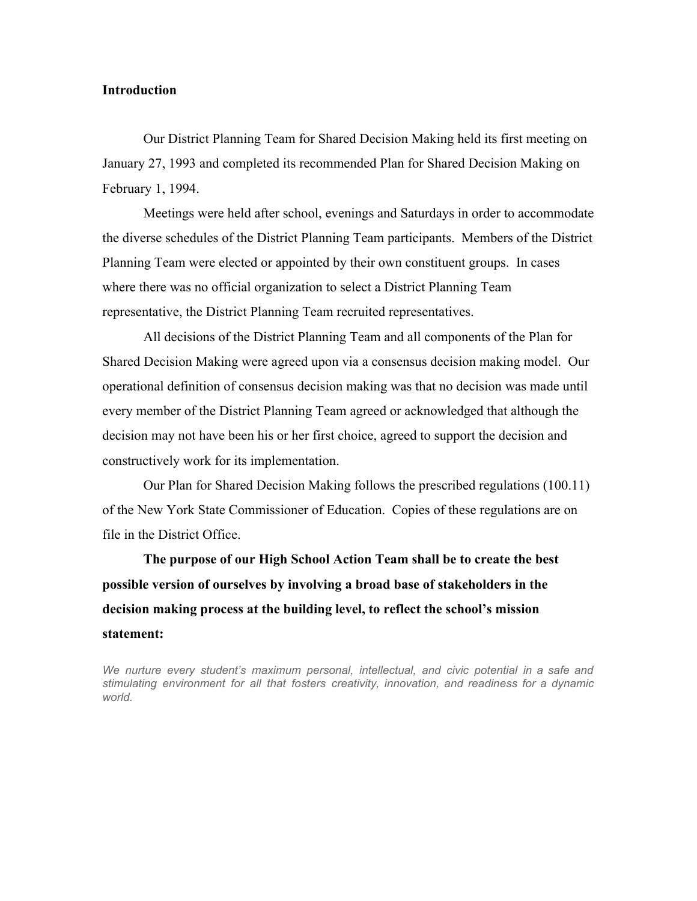#### **Introduction**

Our District Planning Team for Shared Decision Making held its first meeting on January 27, 1993 and completed its recommended Plan for Shared Decision Making on February 1, 1994.

Meetings were held after school, evenings and Saturdays in order to accommodate the diverse schedules of the District Planning Team participants. Members of the District Planning Team were elected or appointed by their own constituent groups. In cases where there was no official organization to select a District Planning Team representative, the District Planning Team recruited representatives.

All decisions of the District Planning Team and all components of the Plan for Shared Decision Making were agreed upon via a consensus decision making model. Our operational definition of consensus decision making was that no decision was made until every member of the District Planning Team agreed or acknowledged that although the decision may not have been his or her first choice, agreed to support the decision and constructively work for its implementation.

Our Plan for Shared Decision Making follows the prescribed regulations (100.11) of the New York State Commissioner of Education. Copies of these regulations are on file in the District Office.

**The purpose of our High School Action Team shall be to create the best possible version of ourselves by involving a broad base of stakeholders in the decision making process at the building level, to reflect the school's mission statement:**

*We nurture every student's maximum personal, intellectual, and civic potential in a safe and stimulating environment for all that fosters creativity, innovation, and readiness for a dynamic world.*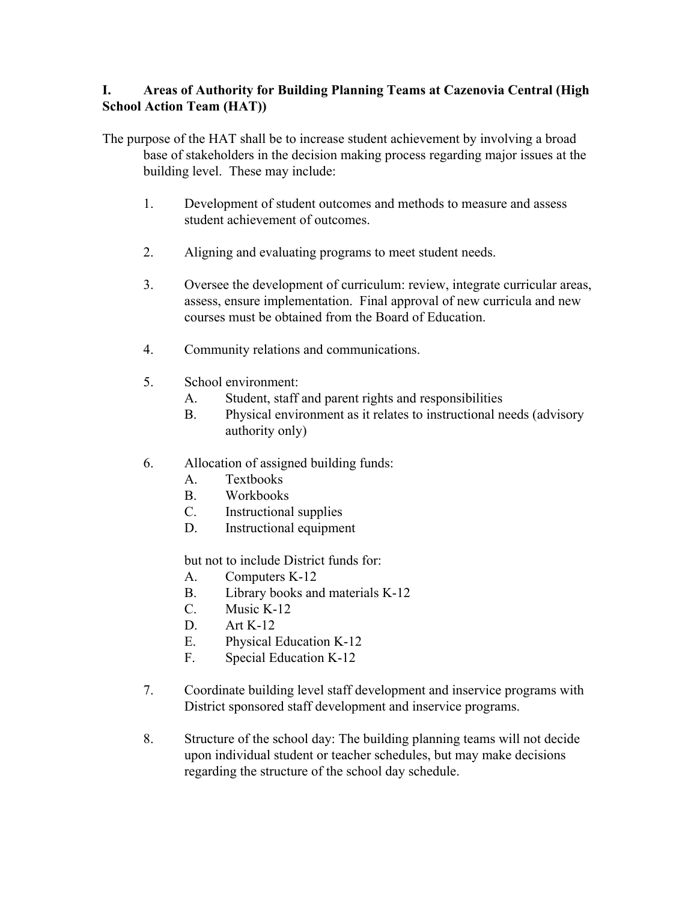# **I. Areas of Authority for Building Planning Teams at Cazenovia Central (High School Action Team (HAT))**

The purpose of the HAT shall be to increase student achievement by involving a broad base of stakeholders in the decision making process regarding major issues at the building level. These may include:

- 1. Development of student outcomes and methods to measure and assess student achievement of outcomes.
- 2. Aligning and evaluating programs to meet student needs.
- 3. Oversee the development of curriculum: review, integrate curricular areas, assess, ensure implementation. Final approval of new curricula and new courses must be obtained from the Board of Education.
- 4. Community relations and communications.
- 5. School environment:
	- A. Student, staff and parent rights and responsibilities
	- B. Physical environment as it relates to instructional needs (advisory authority only)
- 6. Allocation of assigned building funds:
	- A. Textbooks
	- B. Workbooks
	- C. Instructional supplies
	- D. Instructional equipment

but not to include District funds for:

- A. Computers K-12
- B. Library books and materials K-12
- $C$  Music K-12
- D. Art K-12
- E. Physical Education K-12
- F. Special Education K-12
- 7. Coordinate building level staff development and inservice programs with District sponsored staff development and inservice programs.
- 8. Structure of the school day: The building planning teams will not decide upon individual student or teacher schedules, but may make decisions regarding the structure of the school day schedule.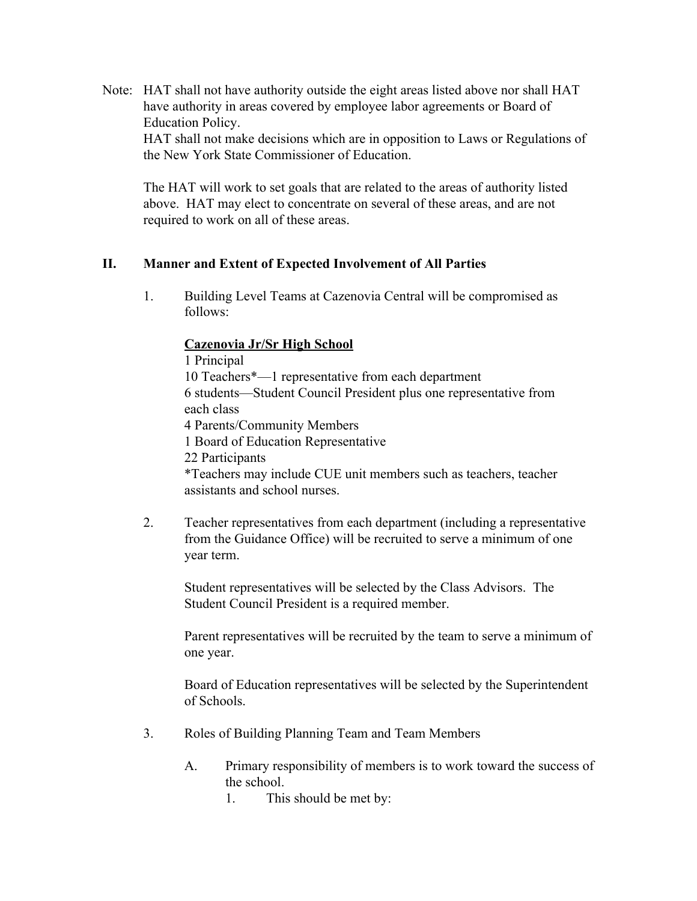Note: HAT shall not have authority outside the eight areas listed above nor shall HAT have authority in areas covered by employee labor agreements or Board of Education Policy. HAT shall not make decisions which are in opposition to Laws or Regulations of

the New York State Commissioner of Education.

The HAT will work to set goals that are related to the areas of authority listed above. HAT may elect to concentrate on several of these areas, and are not required to work on all of these areas.

### **II. Manner and Extent of Expected Involvement of All Parties**

1. Building Level Teams at Cazenovia Central will be compromised as follows:

#### **Cazenovia Jr/Sr High School**

1 Principal 10 Teachers\*—1 representative from each department 6 students—Student Council President plus one representative from each class 4 Parents/Community Members 1 Board of Education Representative 22 Participants \*Teachers may include CUE unit members such as teachers, teacher assistants and school nurses.

2. Teacher representatives from each department (including a representative from the Guidance Office) will be recruited to serve a minimum of one year term.

Student representatives will be selected by the Class Advisors. The Student Council President is a required member.

Parent representatives will be recruited by the team to serve a minimum of one year.

Board of Education representatives will be selected by the Superintendent of Schools.

- 3. Roles of Building Planning Team and Team Members
	- A. Primary responsibility of members is to work toward the success of the school.
		- 1. This should be met by: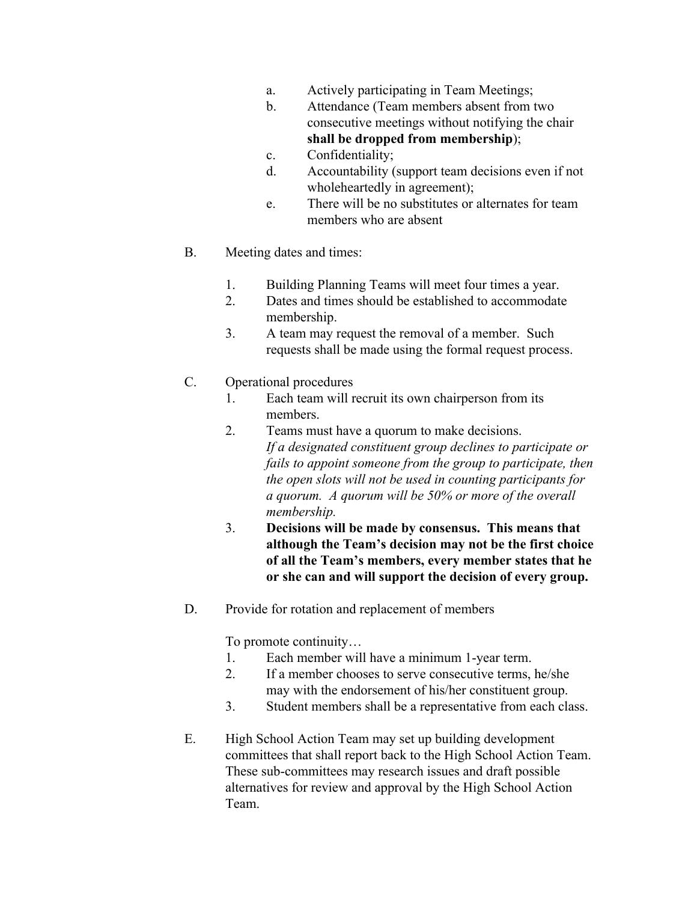- a. Actively participating in Team Meetings;
- b. Attendance (Team members absent from two consecutive meetings without notifying the chair **shall be dropped from membership**);
- c. Confidentiality;
- d. Accountability (support team decisions even if not wholeheartedly in agreement);
- e. There will be no substitutes or alternates for team members who are absent
- B. Meeting dates and times:
	- 1. Building Planning Teams will meet four times a year.
	- 2. Dates and times should be established to accommodate membership.
	- 3. A team may request the removal of a member. Such requests shall be made using the formal request process.

### C. Operational procedures

- 1. Each team will recruit its own chairperson from its members.
- 2. Teams must have a quorum to make decisions. *If a designated constituent group declines to participate or fails to appoint someone from the group to participate, then the open slots will not be used in counting participants for a quorum. A quorum will be 50% or more of the overall membership.*
- 3. **Decisions will be made by consensus. This means that although the Team's decision may not be the first choice of all the Team's members, every member states that he or she can and will support the decision of every group.**
- D. Provide for rotation and replacement of members

To promote continuity…

- 1. Each member will have a minimum 1-year term.
- 2. If a member chooses to serve consecutive terms, he/she may with the endorsement of his/her constituent group.
- 3. Student members shall be a representative from each class.
- E. High School Action Team may set up building development committees that shall report back to the High School Action Team. These sub-committees may research issues and draft possible alternatives for review and approval by the High School Action Team.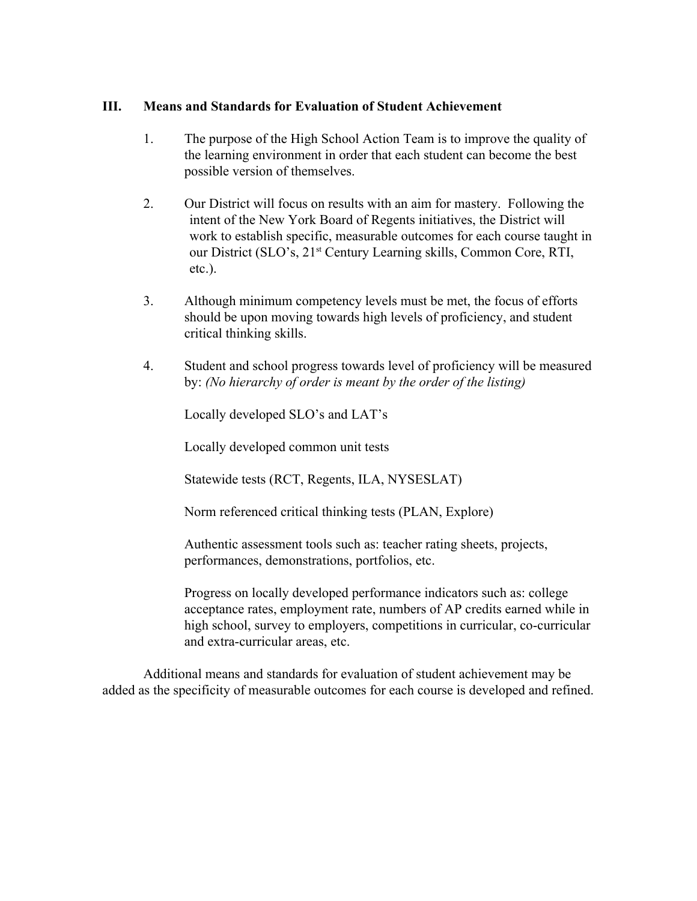### **III. Means and Standards for Evaluation of Student Achievement**

- 1. The purpose of the High School Action Team is to improve the quality of the learning environment in order that each student can become the best possible version of themselves.
- 2. Our District will focus on results with an aim for mastery. Following the intent of the New York Board of Regents initiatives, the District will work to establish specific, measurable outcomes for each course taught in our District (SLO's, 21<sup>st</sup> Century Learning skills, Common Core, RTI, etc.).
- 3. Although minimum competency levels must be met, the focus of efforts should be upon moving towards high levels of proficiency, and student critical thinking skills.
- 4. Student and school progress towards level of proficiency will be measured by: *(No hierarchy of order is meant by the order of the listing)*

Locally developed SLO's and LAT's

Locally developed common unit tests

Statewide tests (RCT, Regents, ILA, NYSESLAT)

Norm referenced critical thinking tests (PLAN, Explore)

Authentic assessment tools such as: teacher rating sheets, projects, performances, demonstrations, portfolios, etc.

Progress on locally developed performance indicators such as: college acceptance rates, employment rate, numbers of AP credits earned while in high school, survey to employers, competitions in curricular, co-curricular and extra-curricular areas, etc.

Additional means and standards for evaluation of student achievement may be added as the specificity of measurable outcomes for each course is developed and refined.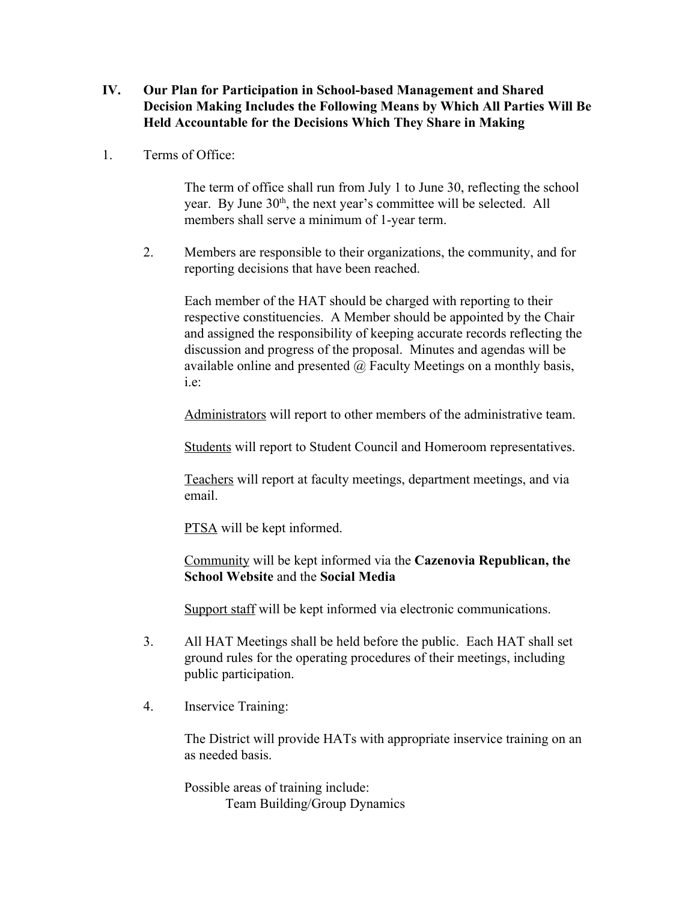- **IV. Our Plan for Participation in School-based Management and Shared Decision Making Includes the Following Means by Which All Parties Will Be Held Accountable for the Decisions Which They Share in Making**
- 1. Terms of Office:

The term of office shall run from July 1 to June 30, reflecting the school year. By June 30<sup>th</sup>, the next year's committee will be selected. All members shall serve a minimum of 1-year term.

2. Members are responsible to their organizations, the community, and for reporting decisions that have been reached.

Each member of the HAT should be charged with reporting to their respective constituencies. A Member should be appointed by the Chair and assigned the responsibility of keeping accurate records reflecting the discussion and progress of the proposal. Minutes and agendas will be available online and presented  $\omega$  Faculty Meetings on a monthly basis, i.e:

Administrators will report to other members of the administrative team.

Students will report to Student Council and Homeroom representatives.

Teachers will report at faculty meetings, department meetings, and via email.

**PTSA** will be kept informed.

Community will be kept informed via the **Cazenovia Republican, the School Website** and the **Social Media**

Support staff will be kept informed via electronic communications.

- 3. All HAT Meetings shall be held before the public. Each HAT shall set ground rules for the operating procedures of their meetings, including public participation.
- 4. Inservice Training:

The District will provide HATs with appropriate inservice training on an as needed basis.

Possible areas of training include: Team Building/Group Dynamics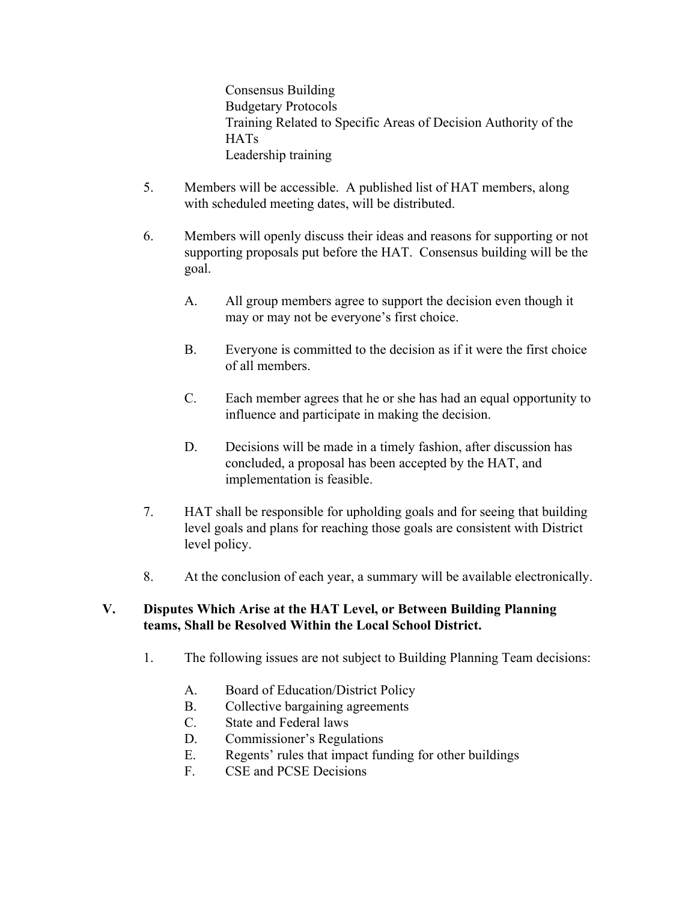Consensus Building Budgetary Protocols Training Related to Specific Areas of Decision Authority of the **HATs** Leadership training

- 5. Members will be accessible. A published list of HAT members, along with scheduled meeting dates, will be distributed.
- 6. Members will openly discuss their ideas and reasons for supporting or not supporting proposals put before the HAT. Consensus building will be the goal.
	- A. All group members agree to support the decision even though it may or may not be everyone's first choice.
	- B. Everyone is committed to the decision as if it were the first choice of all members.
	- C. Each member agrees that he or she has had an equal opportunity to influence and participate in making the decision.
	- D. Decisions will be made in a timely fashion, after discussion has concluded, a proposal has been accepted by the HAT, and implementation is feasible.
- 7. HAT shall be responsible for upholding goals and for seeing that building level goals and plans for reaching those goals are consistent with District level policy.
- 8. At the conclusion of each year, a summary will be available electronically.

### **V. Disputes Which Arise at the HAT Level, or Between Building Planning teams, Shall be Resolved Within the Local School District.**

- 1. The following issues are not subject to Building Planning Team decisions:
	- A. Board of Education/District Policy
	- B. Collective bargaining agreements
	- C. State and Federal laws
	- D. Commissioner's Regulations
	- E. Regents' rules that impact funding for other buildings
	- F. CSE and PCSE Decisions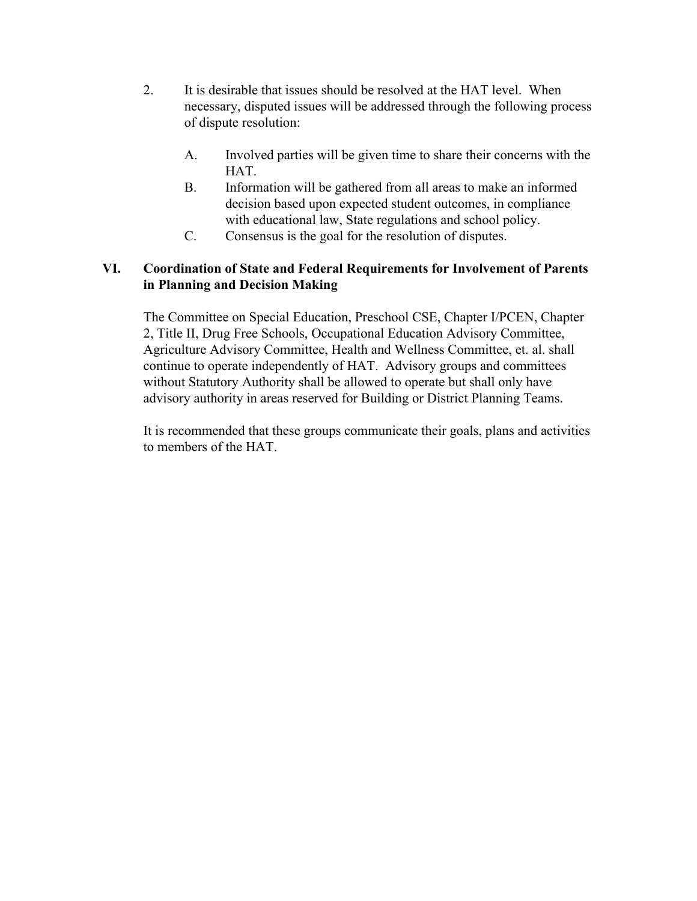- 2. It is desirable that issues should be resolved at the HAT level. When necessary, disputed issues will be addressed through the following process of dispute resolution:
	- A. Involved parties will be given time to share their concerns with the **HAT**
	- B. Information will be gathered from all areas to make an informed decision based upon expected student outcomes, in compliance with educational law, State regulations and school policy.
	- C. Consensus is the goal for the resolution of disputes.

# **VI. Coordination of State and Federal Requirements for Involvement of Parents in Planning and Decision Making**

The Committee on Special Education, Preschool CSE, Chapter I/PCEN, Chapter 2, Title II, Drug Free Schools, Occupational Education Advisory Committee, Agriculture Advisory Committee, Health and Wellness Committee, et. al. shall continue to operate independently of HAT. Advisory groups and committees without Statutory Authority shall be allowed to operate but shall only have advisory authority in areas reserved for Building or District Planning Teams.

It is recommended that these groups communicate their goals, plans and activities to members of the HAT.